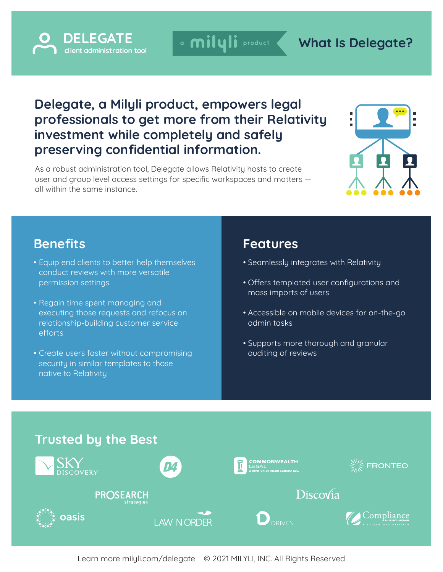

a milyli product

## **What Is Delegate?**

## **Delegate, a Milyli product, empowers legal professionals to get more from their Relativity investment while completely and safely preserving confidential information.**

As a robust administration tool, Delegate allows Relativity hosts to create user and group level access settings for specific workspaces and matters all within the same instance.



## **Benefits**

- Equip end clients to better help themselves conduct reviews with more versatile permission settings
- Regain time spent managing and executing those requests and refocus on relationship-building customer service efforts
- Create users faster without compromising security in similar templates to those native to Relativity

### **Features**

- Seamlessly integrates with Relativity
- Offers templated user configurations and mass imports of users
- Accessible on mobile devices for on-the-go admin tasks
- Supports more thorough and granular auditing of reviews

#### **Trusted by the Best COMMONWEALTH FRONTEO** LEGAL<br>| division of ricoh canada inc<mark>.</mark> DISCOVERY Discovia PROSEARCH Compliance oasis **DRIVEN I AW IN ORDER**